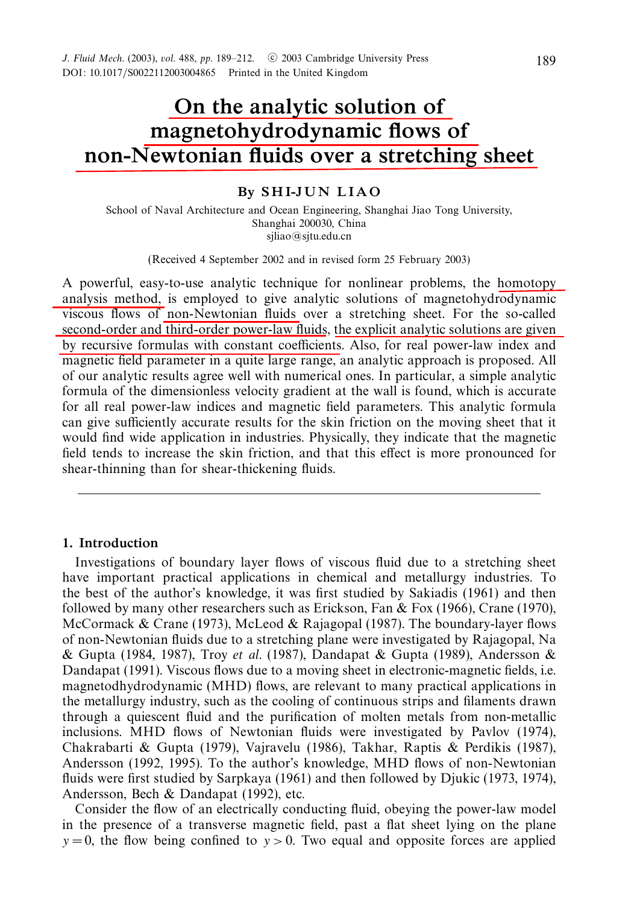# *On the analytic solution of magnetohydrodynamic flows of non-Newtonian fluids over a stretching sheet*

# *By S H I-J U N L I A O*

School of Naval Architecture and Ocean Engineering, Shanghai Jiao Tong University, Shanghai 200030, China sjliao@sjtu.edu.cn

(Received 4 September 2002 and in revised form 25 February 2003)

A powerful, easy-to-use analytic technique for nonlinear problems, the homotopy analysis method, is employed to give analytic solutions of magnetohydrodynamic viscous flows of non-Newtonian fluids over a stretching sheet. For the so-called second-order and third-order power-law fluids, the explicit analytic solutions are given by recursive formulas with constant coefficients. Also, for real power-law index and magnetic field parameter in a quite large range, an analytic approach is proposed. All of our analytic results agree well with numerical ones. In particular, a simple analytic formula of the dimensionless velocity gradient at the wall is found, which is accurate for all real power-law indices and magnetic field parameters. This analytic formula can give sufficiently accurate results for the skin friction on the moving sheet that it would find wide application in industries. Physically, they indicate that the magnetic field tends to increase the skin friction, and that this effect is more pronounced for shear-thinning than for shear-thickening fluids.

# *1. Introduction*

Investigations of boundary layer flows of viscous fluid due to a stretching sheet have important practical applications in chemical and metallurgy industries. To the best of the author's knowledge, it was first studied by Sakiadis (1961) and then followed by many other researchers such as Erickson, Fan & Fox (1966), Crane (1970), McCormack & Crane (1973), McLeod & Rajagopal (1987). The boundary-layer flows of non-Newtonian fluids due to a stretching plane were investigated by Rajagopal, Na & Gupta (1984, 1987), Troy et al. (1987), Dandapat & Gupta (1989), Andersson & Dandapat (1991). Viscous flows due to a moving sheet in electronic-magnetic fields, i.e. magnetodhydrodynamic (MHD) flows, are relevant to many practical applications in the metallurgy industry, such as the cooling of continuous strips and filaments drawn through a quiescent fluid and the purification of molten metals from non-metallic inclusions. MHD flows of Newtonian fluids were investigated by Pavlov (1974), Chakrabarti & Gupta (1979), Vajravelu (1986), Takhar, Raptis & Perdikis (1987), Andersson (1992, 1995). To the author's knowledge, MHD flows of non-Newtonian fluids were first studied by Sarpkaya (1961) and then followed by Djukic (1973, 1974), Andersson, Bech & Dandapat (1992), etc.

Consider the flow of an electrically conducting fluid, obeying the power-law model in the presence of a transverse magnetic field, past a flat sheet lying on the plane  $y = 0$ , the flow being confined to  $y > 0$ . Two equal and opposite forces are applied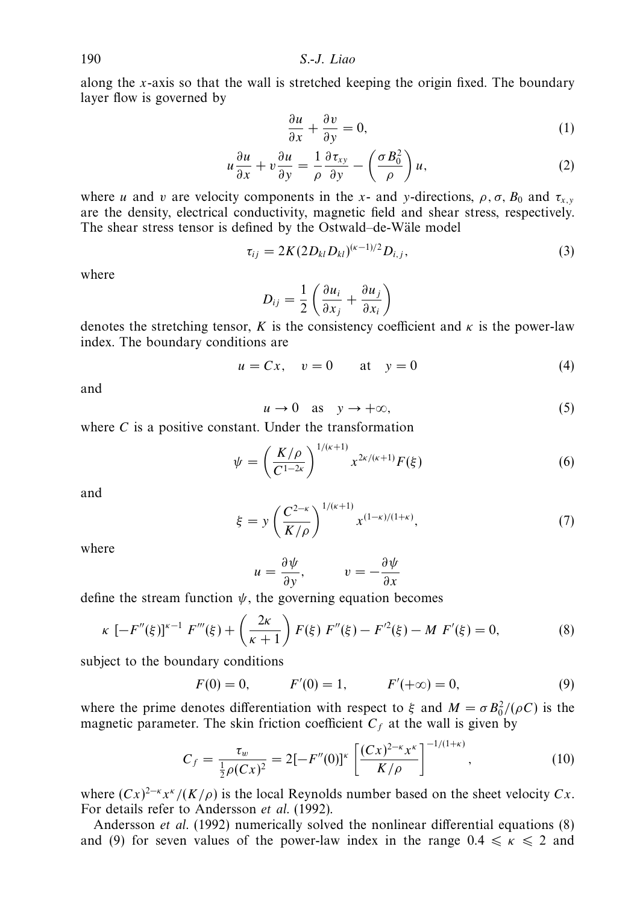along the *x*-axis so that the wall is stretched keeping the origin fixed. The boundary layer flow is governed by

$$
\frac{\partial u}{\partial x} + \frac{\partial v}{\partial y} = 0,\tag{1}
$$

$$
u\frac{\partial u}{\partial x} + v\frac{\partial u}{\partial y} = \frac{1}{\rho}\frac{\partial \tau_{xy}}{\partial y} - \left(\frac{\sigma B_0^2}{\rho}\right)u,\tag{2}
$$

where *u* and *v* are velocity components in the *x*- and *y*-directions,  $\rho$ ,  $\sigma$ ,  $B_0$  and  $\tau_{x,y}$ are the density, electrical conductivity, magnetic field and shear stress, respectively. The shear stress tensor is defined by the Ostwald–de-Wäle model

$$
\tau_{ij} = 2K(2D_{kl}D_{kl})^{(\kappa - 1)/2}D_{i,j},\tag{3}
$$

where

$$
D_{ij} = \frac{1}{2} \left( \frac{\partial u_i}{\partial x_j} + \frac{\partial u_j}{\partial x_i} \right)
$$

denotes the stretching tensor,  $K$  is the consistency coefficient and  $\kappa$  is the power-law index. The boundary conditions are

$$
u = Cx, \quad v = 0 \qquad \text{at} \quad y = 0 \tag{4}
$$

and

$$
u \to 0 \quad \text{as} \quad y \to +\infty,\tag{5}
$$

where *C* is a positive constant. Under the transformation

$$
\psi = \left(\frac{K/\rho}{C^{1-2\kappa}}\right)^{1/(\kappa+1)} x^{2\kappa/(\kappa+1)} F(\xi)
$$
\n(6)

and

$$
\xi = y \left( \frac{C^{2-\kappa}}{K/\rho} \right)^{1/(\kappa+1)} x^{(1-\kappa)/(1+\kappa)}, \tag{7}
$$

where

$$
u = \frac{\partial \psi}{\partial y}, \qquad v = -\frac{\partial \psi}{\partial x}
$$

define the stream function  $\psi$ , the governing equation becomes

$$
\kappa \left[ -F''(\xi) \right]^{k-1} F'''(\xi) + \left( \frac{2\kappa}{\kappa + 1} \right) F(\xi) \ F''(\xi) - F'^2(\xi) - M \ F'(\xi) = 0, \tag{8}
$$

subject to the boundary conditions

$$
F(0) = 0,
$$
  $F'(0) = 1,$   $F'(+\infty) = 0,$  (9)

where the prime denotes differentiation with respect to  $\xi$  and  $M = \sigma B_0^2/(\rho C)$  is the magnetic parameter. The skin friction coefficient  $C_f$  at the wall is given by

$$
C_f = \frac{\tau_w}{\frac{1}{2}\rho(Cx)^2} = 2[-F''(0)]^{\kappa} \left[ \frac{(Cx)^{2-\kappa} x^{\kappa}}{K/\rho} \right]^{-1/(1+\kappa)}, \qquad (10)
$$

where  $(Cx)^{2-\kappa} x^{\kappa}/(K/\rho)$  is the local Reynolds number based on the sheet velocity  $Cx$ . For details refer to Andersson et al. (1992).

Andersson et al. (1992) numerically solved the nonlinear differential equations (8) and (9) for seven values of the power-law index in the range  $0.4 \le \kappa \le 2$  and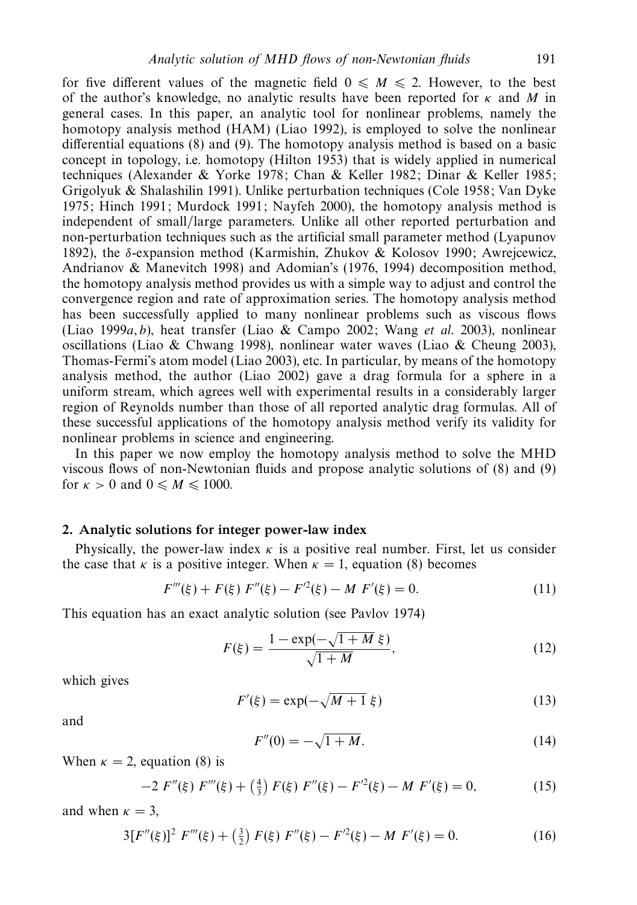for five different values of the magnetic field  $0 \leq M \leq 2$ . However, to the best of the author's knowledge, no analytic results have been reported for *κ* and *M* in general cases. In this paper, an analytic tool for nonlinear problems, namely the homotopy analysis method (HAM) (Liao 1992), is employed to solve the nonlinear differential equations (8) and (9). The homotopy analysis method is based on a basic concept in topology, i.e. homotopy (Hilton 1953) that is widely applied in numerical techniques (Alexander & Yorke 1978; Chan & Keller 1982; Dinar & Keller 1985; Grigolyuk & Shalashilin 1991). Unlike perturbation techniques (Cole 1958; Van Dyke 1975; Hinch 1991; Murdock 1991; Nayfeh 2000), the homotopy analysis method is independent of small/large parameters. Unlike all other reported perturbation and non-perturbation techniques such as the artificial small parameter method (Lyapunov 1892), the *δ*-expansion method (Karmishin, Zhukov & Kolosov 1990; Awrejcewicz, Andrianov & Manevitch 1998) and Adomian's (1976, 1994) decomposition method, the homotopy analysis method provides us with a simple way to adjust and control the convergence region and rate of approximation series. The homotopy analysis method has been successfully applied to many nonlinear problems such as viscous flows (Liao 1999 $a$ ,  $b$ ), heat transfer (Liao & Campo 2002; Wang *et al.* 2003), nonlinear oscillations (Liao & Chwang 1998), nonlinear water waves (Liao & Cheung 2003), Thomas-Fermi's atom model (Liao 2003), etc. In particular, by means of the homotopy analysis method, the author (Liao 2002) gave a drag formula for a sphere in a uniform stream, which agrees well with experimental results in a considerably larger region of Reynolds number than those of all reported analytic drag formulas. All of these successful applications of the homotopy analysis method verify its validity for nonlinear problems in science and engineering.

In this paper we now employ the homotopy analysis method to solve the MHD viscous flows of non-Newtonian fluids and propose analytic solutions of (8) and (9) for  $\kappa > 0$  and  $0 \le M \le 1000$ .

# *2. Analytic solutions for integer power-law index*

Physically, the power-law index *κ* is a positive real number. First, let us consider the case that *κ* is a positive integer. When  $\kappa = 1$ , equation (8) becomes

$$
F'''(\xi) + F(\xi) F''(\xi) - F'^2(\xi) - M F'(\xi) = 0.
$$
\n(11)

This equation has an exact analytic solution (see Pavlov 1974)

$$
F(\xi) = \frac{1 - \exp(-\sqrt{1 + M} \xi)}{\sqrt{1 + M}},
$$
\n(12)

which gives

$$
F'(\xi) = \exp(-\sqrt{M+1}\,\xi) \tag{13}
$$

and

$$
F''(0) = -\sqrt{1 + M}.
$$
 (14)

When  $\kappa = 2$ , equation (8) is

$$
-2 F''(\xi) F'''(\xi) + \left(\frac{4}{3}\right) F(\xi) F''(\xi) - F'^2(\xi) - M F'(\xi) = 0, \tag{15}
$$

and when  $\kappa = 3$ ,

$$
3[F''(\xi)]^2 F'''(\xi) + \left(\frac{3}{2}\right) F(\xi) F''(\xi) - F'^2(\xi) - M F'(\xi) = 0.
$$
 (16)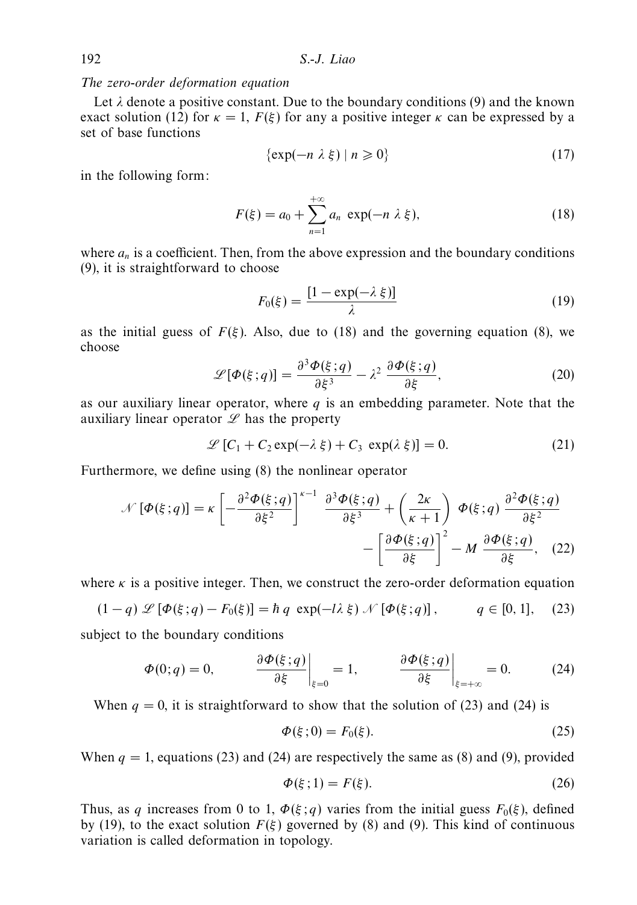The zero-order deformation equation

Let  $\lambda$  denote a positive constant. Due to the boundary conditions (9) and the known exact solution (12) for  $\kappa = 1$ ,  $F(\xi)$  for any a positive integer  $\kappa$  can be expressed by a set of base functions

$$
\{\exp(-n\lambda\xi)\mid n\geqslant 0\}\tag{17}
$$

in the following form:

$$
F(\xi) = a_0 + \sum_{n=1}^{+\infty} a_n \exp(-n \lambda \xi),
$$
 (18)

where  $a_n$  is a coefficient. Then, from the above expression and the boundary conditions (9), it is straightforward to choose

$$
F_0(\xi) = \frac{[1 - \exp(-\lambda \xi)]}{\lambda} \tag{19}
$$

as the initial guess of  $F(\xi)$ . Also, due to (18) and the governing equation (8), we choose

$$
\mathcal{L}[\Phi(\xi; q)] = \frac{\partial^3 \Phi(\xi; q)}{\partial \xi^3} - \lambda^2 \frac{\partial \Phi(\xi; q)}{\partial \xi},
$$
 (20)

as our auxiliary linear operator, where *q* is an embedding parameter. Note that the auxiliary linear operator  $\mathscr L$  has the property

$$
\mathcal{L}[C_1 + C_2 \exp(-\lambda \xi) + C_3 \exp(\lambda \xi)] = 0.
$$
 (21)

Furthermore, we define using (8) the nonlinear operator

$$
\mathcal{N}\left[\Phi(\xi;q)\right] = \kappa \left[ -\frac{\partial^2 \Phi(\xi;q)}{\partial \xi^2} \right]^{\kappa-1} \frac{\partial^3 \Phi(\xi;q)}{\partial \xi^3} + \left( \frac{2\kappa}{\kappa+1} \right) \Phi(\xi;q) \frac{\partial^2 \Phi(\xi;q)}{\partial \xi^2} - \left[ \frac{\partial \Phi(\xi;q)}{\partial \xi} \right]^2 - M \frac{\partial \Phi(\xi;q)}{\partial \xi}, \quad (22)
$$

where  $\kappa$  is a positive integer. Then, we construct the zero-order deformation equation

$$
(1-q) \mathcal{L} [\Phi(\xi; q) - F_0(\xi)] = \hbar q \exp(-l\lambda \xi) \mathcal{N} [\Phi(\xi; q)], \qquad q \in [0, 1], \quad (23)
$$

subject to the boundary conditions

$$
\Phi(0;q) = 0, \qquad \frac{\partial \Phi(\xi;q)}{\partial \xi}\bigg|_{\xi=0} = 1, \qquad \frac{\partial \Phi(\xi;q)}{\partial \xi}\bigg|_{\xi=\pm\infty} = 0. \tag{24}
$$

When  $q = 0$ , it is straightforward to show that the solution of (23) and (24) is

$$
\Phi(\xi;0) = F_0(\xi). \tag{25}
$$

When  $q = 1$ , equations (23) and (24) are respectively the same as (8) and (9), provided

$$
\Phi(\xi; 1) = F(\xi). \tag{26}
$$

Thus, as *q* increases from 0 to 1,  $\Phi(\xi; q)$  varies from the initial guess  $F_0(\xi)$ , defined by (19), to the exact solution  $F(\xi)$  governed by (8) and (9). This kind of continuous variation is called deformation in topology.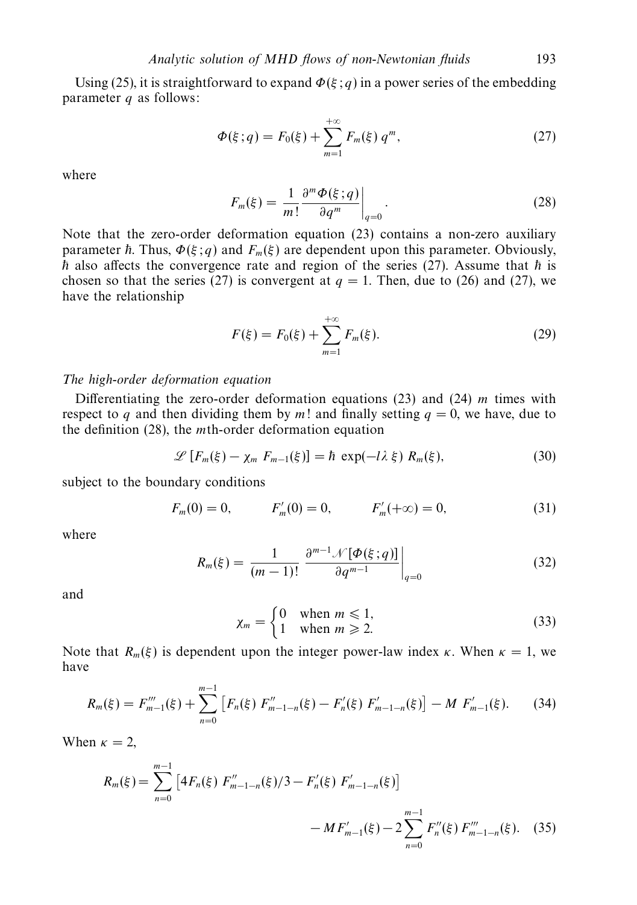Using (25), it is straightforward to expand  $\Phi(\xi; q)$  in a power series of the embedding parameter *q* as follows:

$$
\Phi(\xi; q) = F_0(\xi) + \sum_{m=1}^{+\infty} F_m(\xi) q^m,
$$
\n(27)

where

$$
F_m(\xi) = \frac{1}{m!} \frac{\partial^m \Phi(\xi; q)}{\partial q^m} \bigg|_{q=0}.
$$
 (28)

Note that the zero-order deformation equation (23) contains a non-zero auxiliary parameter  $\hbar$ . Thus,  $\Phi(\xi; q)$  and  $F_m(\xi)$  are dependent upon this parameter. Obviously,  $\bar{h}$  also affects the convergence rate and region of the series (27). Assume that  $\bar{h}$  is chosen so that the series (27) is convergent at  $q = 1$ . Then, due to (26) and (27), we have the relationship

$$
F(\xi) = F_0(\xi) + \sum_{m=1}^{+\infty} F_m(\xi).
$$
 (29)

# The high-order deformation equation

Differentiating the zero-order deformation equations (23) and (24) *m* times with respect to *q* and then dividing them by *m*! and finally setting  $q = 0$ , we have, due to the definition (28), the *m*th-order deformation equation

$$
\mathscr{L}\left[F_m(\xi) - \chi_m F_{m-1}(\xi)\right] = \hbar \exp(-\lambda \xi) R_m(\xi), \tag{30}
$$

subject to the boundary conditions

$$
F_m(0) = 0,
$$
  $F'_m(0) = 0,$   $F'_m(+\infty) = 0,$  (31)

where

$$
R_m(\xi) = \frac{1}{(m-1)!} \left. \frac{\partial^{m-1} \mathcal{N}[\Phi(\xi; q)]}{\partial q^{m-1}} \right|_{q=0} \tag{32}
$$

and

$$
\chi_m = \begin{cases} 0 & \text{when } m \le 1, \\ 1 & \text{when } m \ge 2. \end{cases}
$$
 (33)

Note that  $R_m(\xi)$  is dependent upon the integer power-law index  $\kappa$ . When  $\kappa = 1$ , we have

$$
R_m(\xi) = F_{m-1}'''(\xi) + \sum_{n=0}^{m-1} \left[ F_n(\xi) F_{m-1-n}''(\xi) - F_n'(\xi) F_{m-1-n}'(\xi) \right] - M F_{m-1}'(\xi). \tag{34}
$$

When  $\kappa = 2$ ,

$$
R_m(\xi) = \sum_{n=0}^{m-1} \left[ 4F_n(\xi) F_{m-1-n}''(\xi) / 3 - F_n'(\xi) F_{m-1-n}'(\xi) \right] - M F_{m-1}'(\xi) - 2 \sum_{n=0}^{m-1} F_n''(\xi) F_{m-1-n}'''(\xi). \tag{35}
$$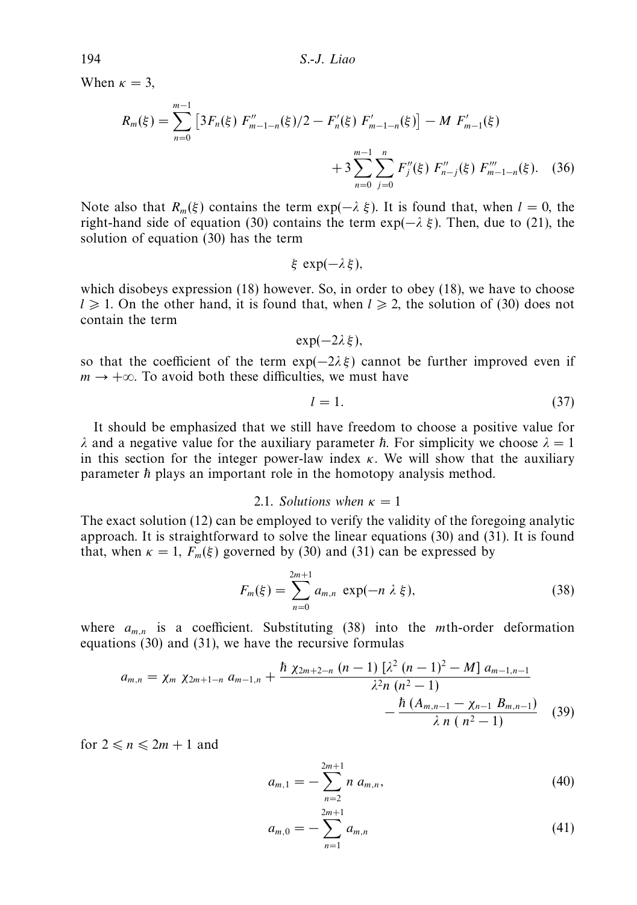When  $\kappa = 3$ ,

$$
R_m(\xi) = \sum_{n=0}^{m-1} \left[ 3F_n(\xi) F_{m-1-n}''(\xi) / 2 - F_n'(\xi) F_{m-1-n}'(\xi) \right] - M F_{m-1}'(\xi)
$$
  
 
$$
+ 3 \sum_{n=0}^{m-1} \sum_{j=0}^n F_j''(\xi) F_{n-j}''(\xi) F_{m-1-n}'''(\xi).
$$
 (36)

Note also that  $R_m(\xi)$  contains the term exp( $-\lambda \xi$ ). It is found that, when  $l = 0$ , the right-hand side of equation (30) contains the term  $\exp(-\lambda \xi)$ . Then, due to (21), the solution of equation (30) has the term

$$
\xi \exp(-\lambda \xi),
$$

which disobeys expression (18) however. So, in order to obey (18), we have to choose  $l \geqslant 1$ . On the other hand, it is found that, when  $l \geqslant 2$ , the solution of (30) does not contain the term

$$
\exp(-2\lambda\xi),
$$

so that the coefficient of the term  $exp(-2\lambda \xi)$  cannot be further improved even if  $m \rightarrow +\infty$ . To avoid both these difficulties, we must have

$$
l = 1.\t\t(37)
$$

It should be emphasized that we still have freedom to choose a positive value for *λ* and a negative value for the auxiliary parameter  $\hbar$ . For simplicity we choose  $\lambda = 1$ in this section for the integer power-law index  $\kappa$ . We will show that the auxiliary parameter  $\hbar$  plays an important role in the homotopy analysis method.

#### 2.1. Solutions when  $\kappa = 1$

The exact solution (12) can be employed to verify the validity of the foregoing analytic approach. It is straightforward to solve the linear equations (30) and (31). It is found that, when  $\kappa = 1$ ,  $F_m(\xi)$  governed by (30) and (31) can be expressed by

$$
F_m(\xi) = \sum_{n=0}^{2m+1} a_{m,n} \exp(-n \lambda \xi),
$$
 (38)

where *am,n* is a coefficient. Substituting (38) into the *m*th-order deformation equations (30) and (31), we have the recursive formulas

$$
a_{m,n} = \chi_m \ \chi_{2m+1-n} \ a_{m-1,n} + \frac{\hbar \ \chi_{2m+2-n} \ (n-1) \ [\lambda^2 \ (n-1)^2 - M] \ a_{m-1,n-1}}{\lambda^2 n \ (n^2 - 1)} - \frac{\hbar \ (A_{m,n-1} - \chi_{n-1} \ B_{m,n-1})}{\lambda \ n \ (n^2 - 1)} \tag{39}
$$

for  $2 \le n \le 2m + 1$  and

$$
a_{m,1} = -\sum_{n=2}^{2m+1} n \ a_{m,n}, \tag{40}
$$

$$
a_{m,0} = -\sum_{n=1}^{2m+1} a_{m,n} \tag{41}
$$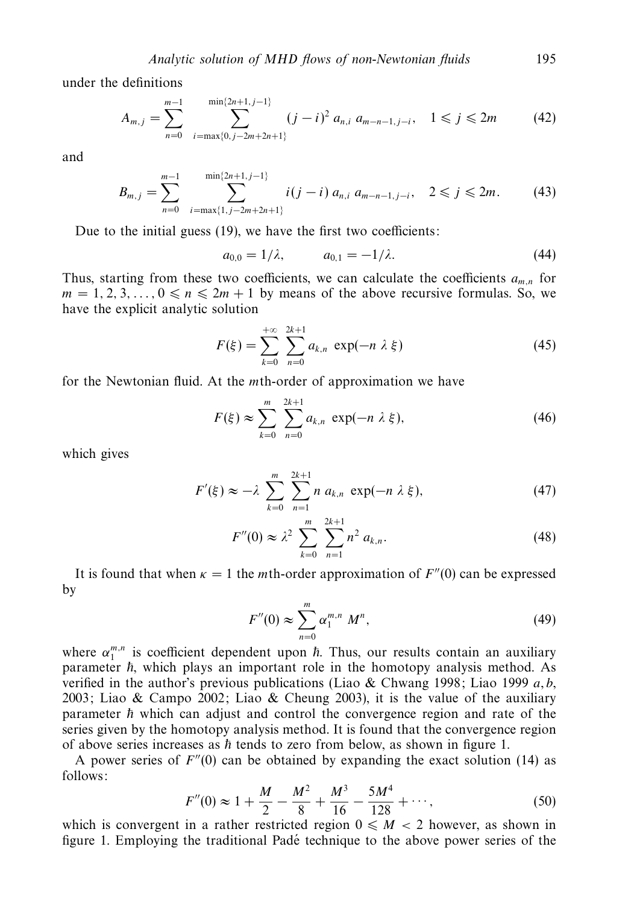under the definitions

$$
A_{m,j} = \sum_{n=0}^{m-1} \sum_{i=\max\{0,j-2m+2n+1\}}^{\min\{2n+1,j-1\}} (j-i)^2 a_{n,i} a_{m-n-1,j-i}, \quad 1 \le j \le 2m \tag{42}
$$

and

$$
B_{m,j} = \sum_{n=0}^{m-1} \sum_{i=\max\{1,j-2m+2n+1\}}^{\min\{2n+1,j-1\}} i(j-i) a_{n,i} a_{m-n-1,j-i}, \quad 2 \leq j \leq 2m. \tag{43}
$$

Due to the initial guess (19), we have the first two coefficients:

$$
a_{0,0} = 1/\lambda, \qquad a_{0,1} = -1/\lambda. \tag{44}
$$

Thus, starting from these two coefficients, we can calculate the coefficients  $a_{m,n}$  for  $m = 1, 2, 3, \ldots, 0 \le n \le 2m + 1$  by means of the above recursive formulas. So, we have the explicit analytic solution

$$
F(\xi) = \sum_{k=0}^{+\infty} \sum_{n=0}^{2k+1} a_{k,n} \exp(-n \lambda \xi)
$$
 (45)

for the Newtonian fluid. At the *m*th-order of approximation we have

$$
F(\xi) \approx \sum_{k=0}^{m} \sum_{n=0}^{2k+1} a_{k,n} \exp(-n \lambda \xi),
$$
 (46)

which gives

$$
F'(\xi) \approx -\lambda \sum_{k=0}^{m} \sum_{n=1}^{2k+1} n a_{k,n} \exp(-n \lambda \xi), \qquad (47)
$$

$$
F''(0) \approx \lambda^2 \sum_{k=0}^{m} \sum_{n=1}^{2k+1} n^2 a_{k,n}.
$$
 (48)

It is found that when  $\kappa = 1$  the *m*th-order approximation of  $F''(0)$  can be expressed by

$$
F''(0) \approx \sum_{n=0}^{m} \alpha_1^{m,n} M^n,
$$
\n(49)

where  $\alpha_1^{m,n}$  is coefficient dependent upon  $\hbar$ . Thus, our results contain an auxiliary parameter  $\hbar$ , which plays an important role in the homotopy analysis method. As verified in the author's previous publications (Liao & Chwang 1998; Liao 1999 *a*, *b*, 2003; Liao & Campo 2002; Liao & Cheung 2003), it is the value of the auxiliary parameter  $\hbar$  which can adjust and control the convergence region and rate of the series given by the homotopy analysis method. It is found that the convergence region of above series increases as  $\hbar$  tends to zero from below, as shown in figure 1.

A power series of  $F''(0)$  can be obtained by expanding the exact solution (14) as follows:

$$
F''(0) \approx 1 + \frac{M}{2} - \frac{M^2}{8} + \frac{M^3}{16} - \frac{5M^4}{128} + \cdots,
$$
 (50)

which is convergent in a rather restricted region  $0 \le M < 2$  however, as shown in figure 1. Employing the traditional Padé technique to the above power series of the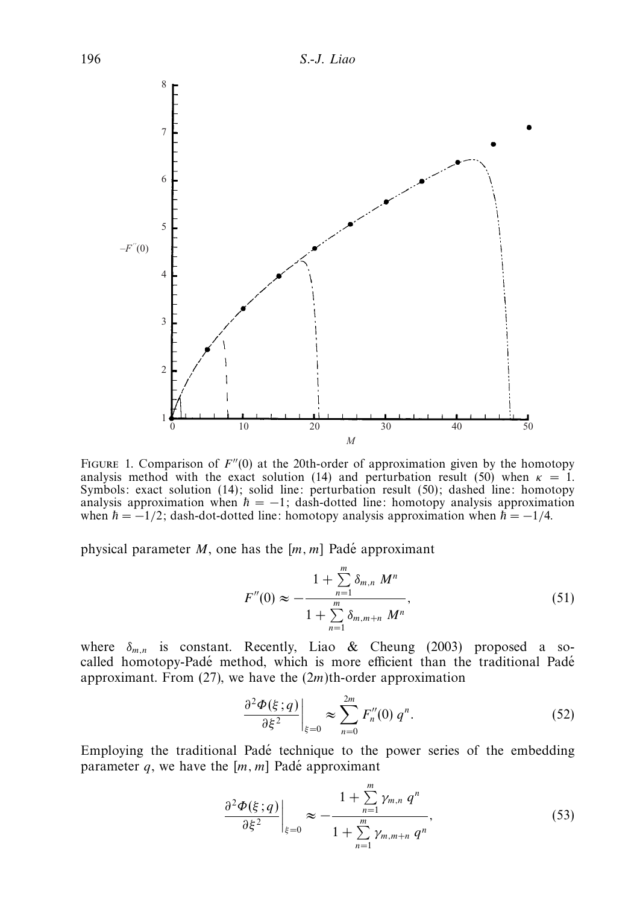

FIGURE 1. Comparison of  $F''(0)$  at the 20th-order of approximation given by the homotopy analysis method with the exact solution (14) and perturbation result (50) when  $\kappa = 1$ . Symbols: exact solution (14); solid line: perturbation result (50); dashed line: homotopy analysis approximation when  $\hbar = -1$ ; dash-dotted line: homotopy analysis approximation when  $\hbar = -1/2$ ; dash-dot-dotted line: homotopy analysis approximation when  $\hbar = -1/4$ .

physical parameter *M*, one has the  $[m, m]$  Padé approximant

$$
F''(0) \approx -\frac{1 + \sum_{n=1}^{m} \delta_{m,n} M^n}{1 + \sum_{n=1}^{m} \delta_{m,m+n} M^n},
$$
\n(51)

where  $\delta_{m,n}$  is constant. Recently, Liao & Cheung (2003) proposed a socalled homotopy-Padé method, which is more efficient than the traditional Padé approximant. From (27), we have the (2*m*)th-order approximation

$$
\left. \frac{\partial^2 \Phi(\xi; q)}{\partial \xi^2} \right|_{\xi=0} \approx \sum_{n=0}^{2m} F_n''(0) q^n. \tag{52}
$$

Employing the traditional Padé technique to the power series of the embedding parameter  $q$ , we have the  $[m, m]$  Padé approximant

$$
\left. \frac{\partial^2 \Phi(\xi; q)}{\partial \xi^2} \right|_{\xi=0} \approx -\frac{1 + \sum_{n=1}^m \gamma_{m,n} q^n}{1 + \sum_{n=1}^m \gamma_{m,m+n} q^n}, \tag{53}
$$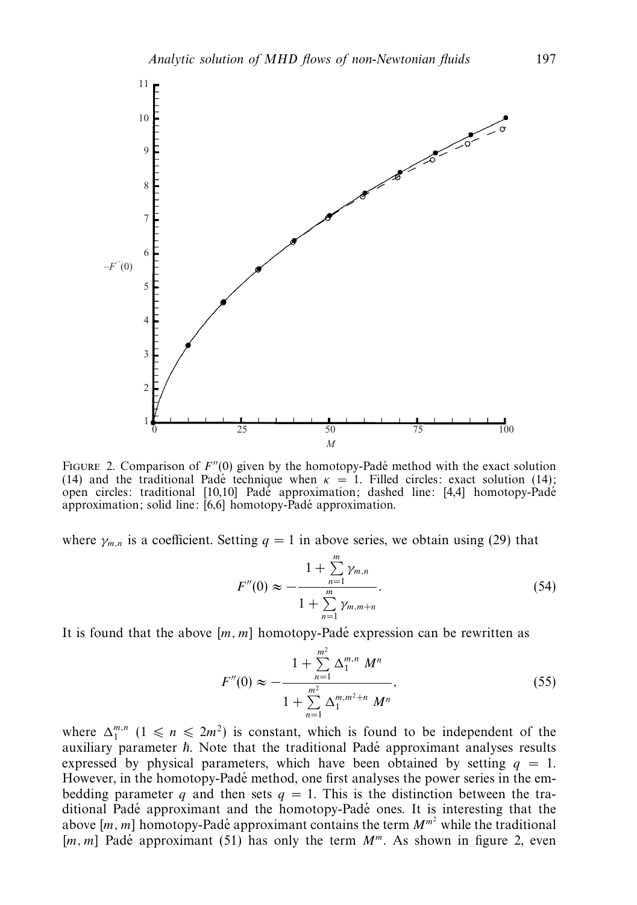

FIGURE 2. Comparison of  $F''(0)$  given by the homotopy-Padé method with the exact solution (14) and the traditional Pade technique when  $\kappa = 1$ . Filled circles: exact solution (14); open circles: traditional [10,10] Pade approximation; dashed line: [4,4] homotopy-Pade approximation; solid line:  $[6,6]$  homotopy-Padé approximation.

where  $\gamma_{m,n}$  is a coefficient. Setting  $q = 1$  in above series, we obtain using (29) that

$$
F''(0) \approx -\frac{1 + \sum_{n=1}^{m} \gamma_{m,n}}{1 + \sum_{n=1}^{m} \gamma_{m,m+n}}.
$$
 (54)

It is found that the above [m, m] homotopy-Padé expression can be rewritten as

$$
F''(0) \approx -\frac{1 + \sum_{n=1}^{m^2} \Delta_1^{m,n} M^n}{1 + \sum_{n=1}^{m^2} \Delta_1^{m,m^2+n} M^n},
$$
\n(55)

where  $\Delta_1^{m,n}$   $(1 \le n \le 2m^2)$  is constant, which is found to be independent of the auxiliary parameter  $\hbar$ . Note that the traditional Padé approximant analyses results expressed by physical parameters, which have been obtained by setting  $q = 1$ . However, in the homotopy-Padé method, one first analyses the power series in the embedding parameter *q* and then sets  $q = 1$ . This is the distinction between the traditional Padé approximant and the homotopy-Padé ones. It is interesting that the above  $[m, m]$  homotopy-Padé approximant contains the term  $M^{m^2}$  while the traditional [ $m, m$ ] Padé approximant (51) has only the term  $M^m$ . As shown in figure 2, even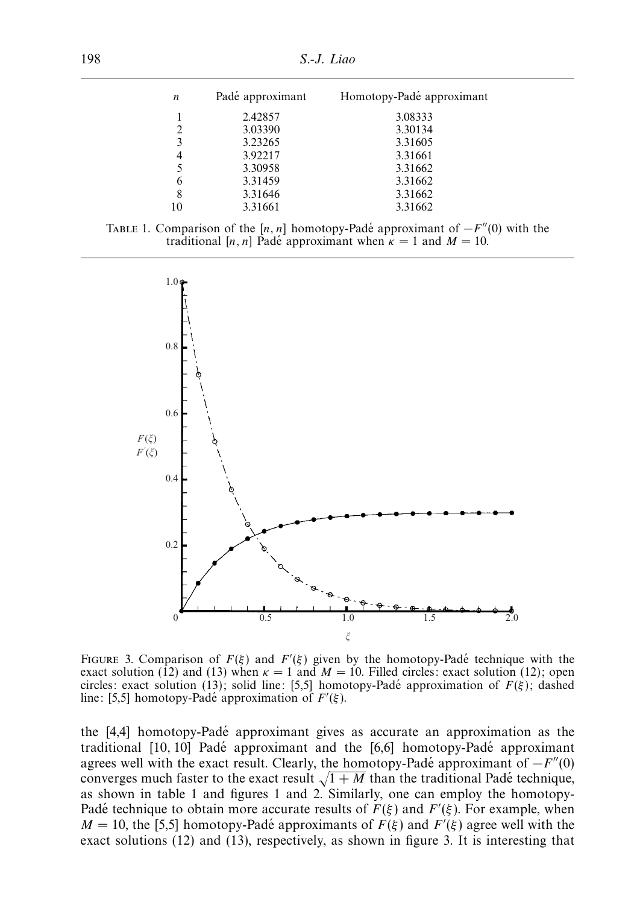| n  | Padé approximant | Homotopy-Padé approximant |  |
|----|------------------|---------------------------|--|
|    | 2.42857          | 3.08333                   |  |
|    | 3.03390          | 3.30134                   |  |
| 3  | 3.23265          | 3.31605                   |  |
| 4  | 3.92217          | 3.31661                   |  |
|    | 3.30958          | 3.31662                   |  |
| 6  | 3.31459          | 3.31662                   |  |
| 8  | 3.31646          | 3.31662                   |  |
| 10 | 3.31661          | 3.31662                   |  |





FIGURE 3. Comparison of  $F(\xi)$  and  $F'(\xi)$  given by the homotopy-Padé technique with the exact solution (12) and (13) when  $\kappa = 1$  and  $M = 10$ . Filled circles: exact solution (12); open circles: exact solution (13); solid line: [5,5] homotopy-Pade approximation of  $F(\xi)$ ; dashed line: [5,5] homotopy-Padé approximation of  $F'(\xi)$ .

the  $[4,4]$  homotopy-Padé approximant gives as accurate an approximation as the traditional  $[10, 10]$  Padé approximant and the  $[6, 6]$  homotopy-Padé approximant agrees well with the exact result. Clearly, the homotopy-Padé approximant of  $-F''(0)$ converges much faster to the exact result  $\sqrt{1 + M}$  than the traditional Pade technique, as shown in table 1 and figures 1 and 2. Similarly, one can employ the homotopy-Padé technique to obtain more accurate results of  $F(\xi)$  and  $F'(\xi)$ . For example, when  $M = 10$ , the [5,5] homotopy-Padé approximants of  $F(\xi)$  and  $F'(\xi)$  agree well with the exact solutions (12) and (13), respectively, as shown in figure 3. It is interesting that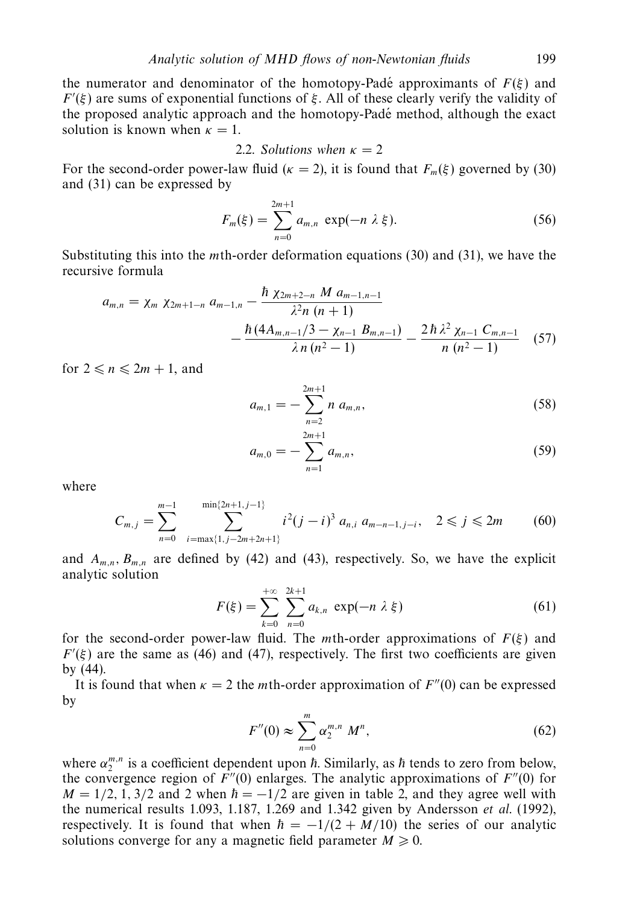the numerator and denominator of the homotopy-Padé approximants of  $F(\xi)$  and  $F'(\xi)$  are sums of exponential functions of  $\xi$ . All of these clearly verify the validity of the proposed analytic approach and the homotopy-Padé method, although the exact solution is known when  $\kappa = 1$ .

2.2. Solutions when 
$$
\kappa = 2
$$

For the second-order power-law fluid ( $\kappa = 2$ ), it is found that  $F_m(\xi)$  governed by (30) and (31) can be expressed by

$$
F_m(\xi) = \sum_{n=0}^{2m+1} a_{m,n} \exp(-n \lambda \xi).
$$
 (56)

Substituting this into the *m*th-order deformation equations (30) and (31), we have the recursive formula

$$
a_{m,n} = \chi_m \ \chi_{2m+1-n} \ a_{m-1,n} - \frac{\hbar \ \chi_{2m+2-n} \ M \ a_{m-1,n-1}}{\lambda^2 n \ (n+1)} - \frac{\hbar \ (4A_{m,n-1}/3 - \chi_{n-1} \ B_{m,n-1})}{\lambda \ n \ (n^2 - 1)} - \frac{2\hbar \ \lambda^2 \ \chi_{n-1} \ C_{m,n-1}}{n \ (n^2 - 1)} \tag{57}
$$

for  $2 \le n \le 2m + 1$ , and

$$
a_{m,1} = -\sum_{n=2}^{2m+1} n \ a_{m,n}, \tag{58}
$$

$$
a_{m,0} = -\sum_{n=1}^{2m+1} a_{m,n}, \qquad (59)
$$

where

$$
C_{m,j} = \sum_{n=0}^{m-1} \sum_{i=\max\{1,j-2m+2n+1\}}^{\min\{2n+1,j-1\}} i^2 (j-i)^3 a_{n,i} a_{m-n-1,j-i}, \quad 2 \le j \le 2m \tag{60}
$$

and  $A_{m,n}$ ,  $B_{m,n}$  are defined by (42) and (43), respectively. So, we have the explicit analytic solution

$$
F(\xi) = \sum_{k=0}^{+\infty} \sum_{n=0}^{2k+1} a_{k,n} \exp(-n \lambda \xi)
$$
 (61)

for the second-order power-law fluid. The *m*th-order approximations of  $F(\xi)$  and  $F'(\xi)$  are the same as (46) and (47), respectively. The first two coefficients are given by (44).

It is found that when  $\kappa = 2$  the *m*th-order approximation of  $F''(0)$  can be expressed by

$$
F''(0) \approx \sum_{n=0}^{m} \alpha_2^{m,n} M^n,
$$
\n(62)

where  $\alpha_2^{m,n}$  is a coefficient dependent upon  $\hbar$ . Similarly, as  $\hbar$  tends to zero from below, the convergence region of  $F''(0)$  enlarges. The analytic approximations of  $F''(0)$  for  $M = 1/2, 1, 3/2$  and 2 when  $\hbar = -1/2$  are given in table 2, and they agree well with the numerical results 1.093, 1.187, 1.269 and 1.342 given by Andersson *et al.* (1992), respectively. It is found that when  $\hbar = -1/(2 + M/10)$  the series of our analytic solutions converge for any a magnetic field parameter  $M \geq 0$ .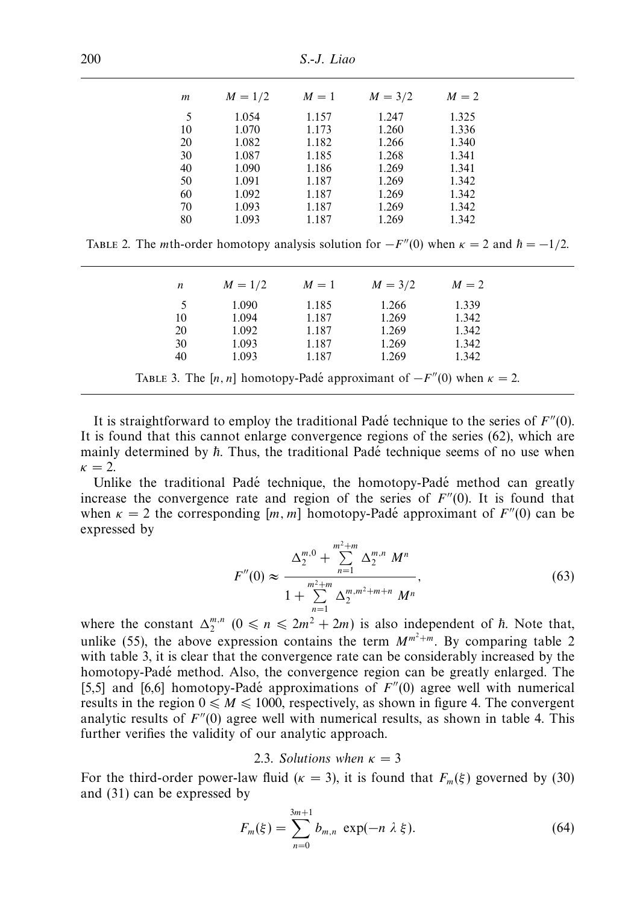| m  | $M = 1/2$ | $M=1$ | $M = 3/2$ | $M=2$ |
|----|-----------|-------|-----------|-------|
| 5  | 1.054     | 1.157 | 1.247     | 1.325 |
| 10 | 1.070     | 1.173 | 1.260     | 1.336 |
| 20 | 1.082     | 1.182 | 1.266     | 1.340 |
| 30 | 1.087     | 1.185 | 1.268     | 1.341 |
| 40 | 1.090     | 1.186 | 1.269     | 1.341 |
| 50 | 1.091     | 1.187 | 1.269     | 1.342 |
| 60 | 1.092     | 1.187 | 1.269     | 1.342 |
| 70 | 1.093     | 1.187 | 1.269     | 1.342 |
| 80 | 1.093     | 1.187 | 1.269     | 1.342 |
|    |           |       |           |       |

TABLE 2. The *m*th-order homotopy analysis solution for  $-F''(0)$  when  $\kappa = 2$  and  $\hbar = -1/2$ .

| n  | $M = 1/2$                                                                      | $M=1$ | $M = 3/2$ | $M=2$ |  |
|----|--------------------------------------------------------------------------------|-------|-----------|-------|--|
| 5  | 1.090                                                                          | 1.185 | 1.266     | 1.339 |  |
| 10 | 1.094                                                                          | 1.187 | 1.269     | 1.342 |  |
| 20 | 1.092                                                                          | 1.187 | 1.269     | 1.342 |  |
| 30 | 1.093                                                                          | 1.187 | 1.269     | 1.342 |  |
| 40 | 1.093                                                                          | 1.187 | 1.269     | 1.342 |  |
|    | TABLE 3. The [n, n] homotopy-Padé approximant of $-F''(0)$ when $\kappa = 2$ . |       |           |       |  |

It is straightforward to employ the traditional Pade technique to the series of  $F''(0)$ . It is found that this cannot enlarge convergence regions of the series (62), which are mainly determined by  $\hbar$ . Thus, the traditional Padé technique seems of no use when  $\kappa = 2$ .

Unlike the traditional Padé technique, the homotopy-Padé method can greatly increase the convergence rate and region of the series of  $F''(0)$ . It is found that when  $\kappa = 2$  the corresponding  $[m, m]$  homotopy-Padé approximant of  $F''(0)$  can be expressed by

$$
F''(0) \approx \frac{\Delta_2^{m,0} + \sum_{n=1}^{m^2+m} \Delta_2^{m,n} M^n}{1 + \sum_{n=1}^{m^2+m} \Delta_2^{m,m^2+m+n} M^n},
$$
\n(63)

where the constant  $\Delta_2^{m,n}$   $(0 \le n \le 2m^2 + 2m)$  is also independent of  $\hbar$ . Note that, unlike (55), the above expression contains the term  $M^{m^2+m}$ . By comparing table 2 with table 3, it is clear that the convergence rate can be considerably increased by the homotopy-Padé method. Also, the convergence region can be greatly enlarged. The [5,5] and [6,6] homotopy-Padé approximations of  $F''(0)$  agree well with numerical results in the region  $0 \le M \le 1000$ , respectively, as shown in figure 4. The convergent analytic results of  $F''(0)$  agree well with numerical results, as shown in table 4. This further verifies the validity of our analytic approach.

## 2.3. Solutions when  $\kappa = 3$

For the third-order power-law fluid ( $\kappa = 3$ ), it is found that  $F_m(\xi)$  governed by (30) and (31) can be expressed by

$$
F_m(\xi) = \sum_{n=0}^{3m+1} b_{m,n} \exp(-n \lambda \xi).
$$
 (64)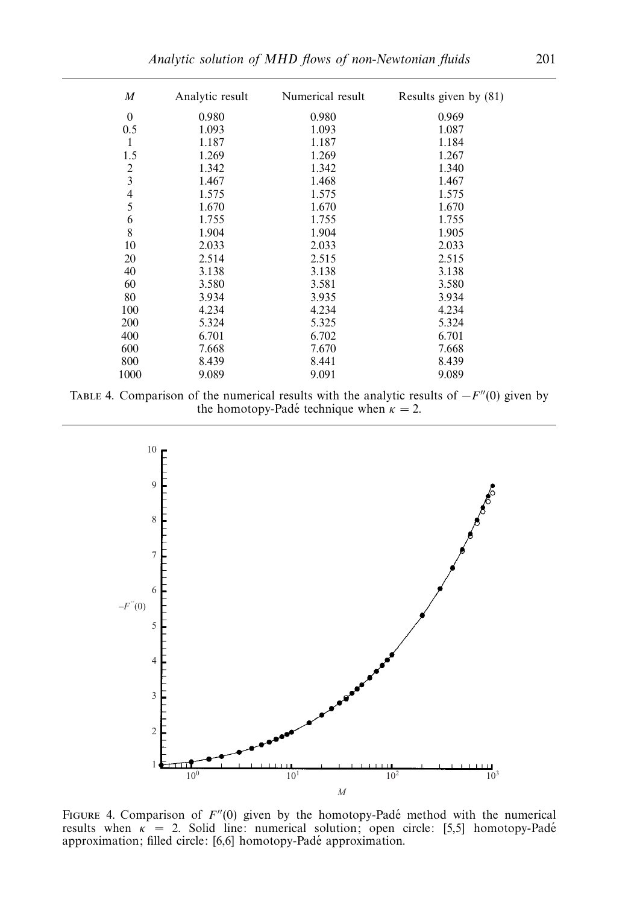| $\boldsymbol{M}$ | Analytic result | Numerical result | Results given by (81) |
|------------------|-----------------|------------------|-----------------------|
| $\overline{0}$   | 0.980           | 0.980            | 0.969                 |
| 0.5              | 1.093           | 1.093            | 1.087                 |
| 1                | 1.187           | 1.187            | 1.184                 |
| 1.5              | 1.269           | 1.269            | 1.267                 |
| $\frac{2}{3}$    | 1.342           | 1.342            | 1.340                 |
|                  | 1.467           | 1.468            | 1.467                 |
| $\frac{4}{5}$    | 1.575           | 1.575            | 1.575                 |
|                  | 1.670           | 1.670            | 1.670                 |
| 6                | 1.755           | 1.755            | 1.755                 |
| 8                | 1.904           | 1.904            | 1.905                 |
| 10               | 2.033           | 2.033            | 2.033                 |
| 20               | 2.514           | 2.515            | 2.515                 |
| 40               | 3.138           | 3.138            | 3.138                 |
| 60               | 3.580           | 3.581            | 3.580                 |
| 80               | 3.934           | 3.935            | 3.934                 |
| 100              | 4.234           | 4.234            | 4.234                 |
| 200              | 5.324           | 5.325            | 5.324                 |
| 400              | 6.701           | 6.702            | 6.701                 |
| 600              | 7.668           | 7.670            | 7.668                 |
| 800              | 8.439           | 8.441            | 8.439                 |
| 1000             | 9.089           | 9.091            | 9.089                 |





FIGURE 4. Comparison of  $F''(0)$  given by the homotopy-Padé method with the numerical results when *κ* = 2. Solid line: numerical solution; open circle: [5,5] homotopy-Pade´ approximation; filled circle: [6,6] homotopy-Padé approximation.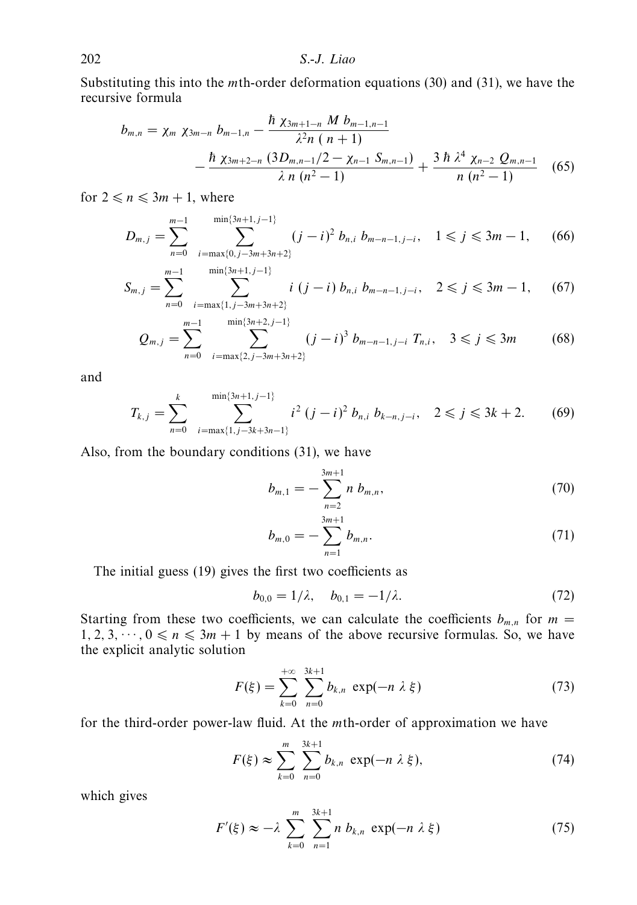Substituting this into the *m*th-order deformation equations (30) and (31), we have the recursive formula

$$
b_{m,n} = \chi_m \ \chi_{3m-n} \ b_{m-1,n} - \frac{\hbar \ \chi_{3m+1-n} \ M \ b_{m-1,n-1}}{\lambda^2 n \ (n+1)} - \frac{\hbar \ \chi_{3m+2-n} \ (3D_{m,n-1}/2 - \chi_{n-1} \ S_{m,n-1})}{\lambda \ n \ (n^2-1)} + \frac{3 \ \hbar \ \lambda^4 \ \chi_{n-2} \ Q_{m,n-1}}{n \ (n^2-1)} \tag{65}
$$

for  $2 \le n \le 3m + 1$ , where

$$
D_{m,j} = \sum_{n=0}^{m-1} \sum_{i=\max\{0,j-3m+3n+2\}}^{\min\{3n+1,j-1\}} (j-i)^2 b_{n,i} b_{m-n-1,j-i}, \quad 1 \le j \le 3m-1, \quad (66)
$$

$$
S_{m,j} = \sum_{n=0}^{m-1} \sum_{i=\max\{1,j-3m+3n+2\}}^{\min\{3n+1,j-1\}} i (j-i) b_{n,i} b_{m-n-1,j-i}, \quad 2 \leq j \leq 3m-1, \quad (67)
$$

$$
Q_{m,j} = \sum_{n=0}^{m-1} \sum_{i=\max\{2,j-3m+3n+2\}}^{\min\{3n+2,j-1\}} (j-i)^3 b_{m-n-1,j-i} T_{n,i}, \quad 3 \le j \le 3m \tag{68}
$$

and

$$
T_{k,j} = \sum_{n=0}^{k} \sum_{i=\max\{1,j-3k+3n-1\}}^{\min\{3n+1,j-1\}} i^2 (j-i)^2 b_{n,i} b_{k-n,j-i}, \quad 2 \le j \le 3k+2. \tag{69}
$$

Also, from the boundary conditions (31), we have

$$
b_{m,1} = -\sum_{n=2}^{3m+1} n b_{m,n}, \qquad (70)
$$

$$
b_{m,0} = -\sum_{n=1}^{3m+1} b_{m,n}.\tag{71}
$$

The initial guess (19) gives the first two coefficients as

$$
b_{0,0} = 1/\lambda, \quad b_{0,1} = -1/\lambda. \tag{72}
$$

Starting from these two coefficients, we can calculate the coefficients  $b_{m,n}$  for  $m =$  $1, 2, 3, \dots, 0 \le n \le 3m + 1$  by means of the above recursive formulas. So, we have the explicit analytic solution

$$
F(\xi) = \sum_{k=0}^{+\infty} \sum_{n=0}^{3k+1} b_{k,n} \exp(-n \lambda \xi)
$$
 (73)

for the third-order power-law fluid. At the *m*th-order of approximation we have

$$
F(\xi) \approx \sum_{k=0}^{m} \sum_{n=0}^{3k+1} b_{k,n} \exp(-n \lambda \xi),
$$
 (74)

which gives

$$
F'(\xi) \approx -\lambda \sum_{k=0}^{m} \sum_{n=1}^{3k+1} n b_{k,n} \exp(-n \lambda \xi)
$$
 (75)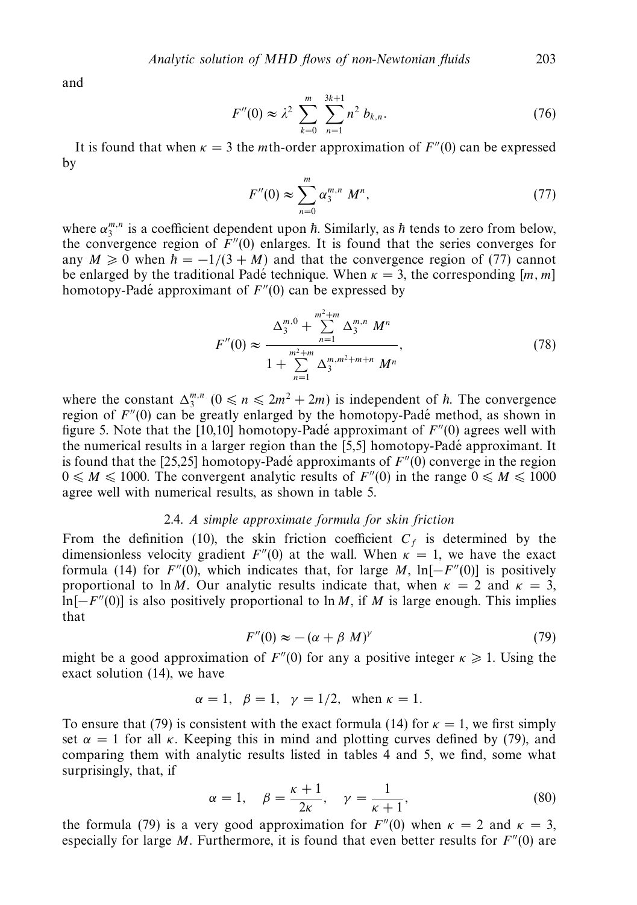and

$$
F''(0) \approx \lambda^2 \sum_{k=0}^{m} \sum_{n=1}^{3k+1} n^2 b_{k,n}.
$$
 (76)

It is found that when  $\kappa = 3$  the *m*th-order approximation of  $F''(0)$  can be expressed by

$$
F''(0) \approx \sum_{n=0}^{m} \alpha_3^{m,n} M^n,
$$
 (77)

where  $\alpha_3^{m,n}$  is a coefficient dependent upon  $\hbar$ . Similarly, as  $\hbar$  tends to zero from below, the convergence region of  $F''(0)$  enlarges. It is found that the series converges for any  $M \ge 0$  when  $\hbar = -1/(3 + M)$  and that the convergence region of (77) cannot be enlarged by the traditional Padé technique. When  $\kappa = 3$ , the corresponding [*m*, *m*] homotopy-Padé approximant of  $F''(0)$  can be expressed by

$$
F''(0) \approx \frac{\Delta_3^{m,0} + \sum_{n=1}^{m^2+m} \Delta_3^{m,n} M^n}{1 + \sum_{n=1}^{m^2+m} \Delta_3^{m,m^2+m+n} M^n},
$$
\n(78)

where the constant  $\Delta_3^{m,n}$   $(0 \le n \le 2m^2 + 2m)$  is independent of  $\hbar$ . The convergence region of  $F''(0)$  can be greatly enlarged by the homotopy-Padé method, as shown in figure 5. Note that the [10,10] homotopy-Padé approximant of  $F''(0)$  agrees well with the numerical results in a larger region than the  $[5,5]$  homotopy-Padé approximant. It is found that the  $[25,25]$  homotopy-Padé approximants of  $F''(0)$  converge in the region  $0 \leq M \leq 1000$ . The convergent analytic results of  $F''(0)$  in the range  $0 \leq M \leq 1000$ agree well with numerical results, as shown in table 5.

#### 2.4. A simple approximate formula for skin friction

From the definition (10), the skin friction coefficient  $C_f$  is determined by the dimensionless velocity gradient  $F''(0)$  at the wall. When  $\kappa = 1$ , we have the exact formula (14) for  $F''(0)$ , which indicates that, for large *M*, ln[− $F''(0)$ ] is positively proportional to ln *M*. Our analytic results indicate that, when  $\kappa = 2$  and  $\kappa = 3$ ,  $\ln[-F''(0)]$  is also positively proportional to  $\ln M$ , if *M* is large enough. This implies that

$$
F''(0) \approx -(\alpha + \beta M)^{\gamma} \tag{79}
$$

might be a good approximation of  $F''(0)$  for any a positive integer  $\kappa \geq 1$ . Using the exact solution (14), we have

$$
\alpha = 1
$$
,  $\beta = 1$ ,  $\gamma = 1/2$ , when  $\kappa = 1$ .

To ensure that (79) is consistent with the exact formula (14) for  $\kappa = 1$ , we first simply set  $\alpha = 1$  for all *κ*. Keeping this in mind and plotting curves defined by (79), and comparing them with analytic results listed in tables 4 and 5, we find, some what surprisingly, that, if

$$
\alpha = 1, \quad \beta = \frac{\kappa + 1}{2\kappa}, \quad \gamma = \frac{1}{\kappa + 1}, \tag{80}
$$

the formula (79) is a very good approximation for  $F''(0)$  when  $\kappa = 2$  and  $\kappa = 3$ , especially for large  $M$ . Furthermore, it is found that even better results for  $F''(0)$  are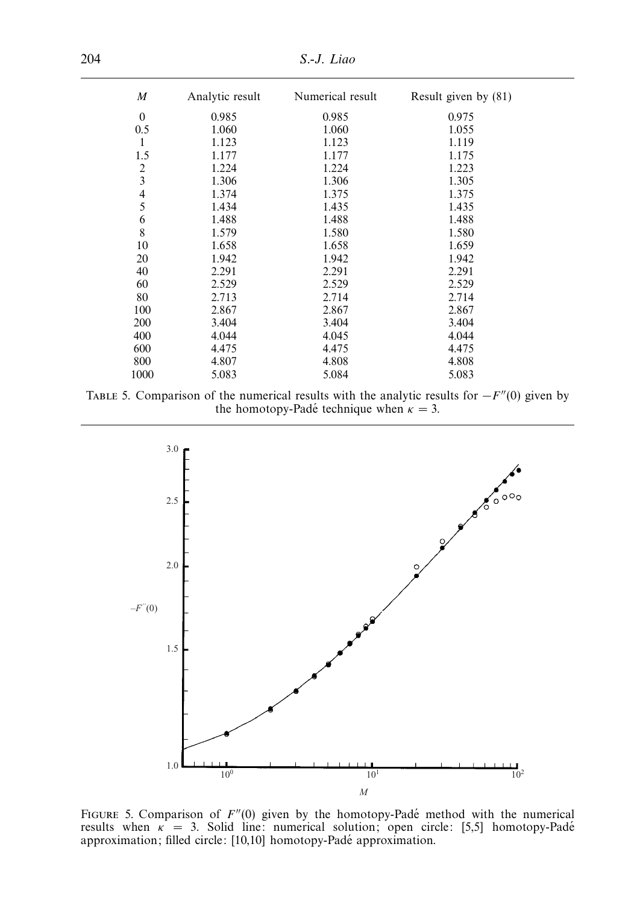204 S.-J. Liao

| $\boldsymbol{M}$        | Analytic result | Numerical result | Result given by (81) |
|-------------------------|-----------------|------------------|----------------------|
| $\mathbf{0}$            | 0.985           | 0.985            | 0.975                |
| 0.5                     | 1.060           | 1.060            | 1.055                |
| $\mathbf{1}$            | 1.123           | 1.123            | 1.119                |
| 1.5                     | 1.177           | 1.177            | 1.175                |
|                         | 1.224           | 1.224            | 1.223                |
| $\frac{2}{3}$           | 1.306           | 1.306            | 1.305                |
| $\overline{\mathbf{4}}$ | 1.374           | 1.375            | 1.375                |
| 5                       | 1.434           | 1.435            | 1.435                |
| 6                       | 1.488           | 1.488            | 1.488                |
| 8                       | 1.579           | 1.580            | 1.580                |
| 10                      | 1.658           | 1.658            | 1.659                |
| 20                      | 1.942           | 1.942            | 1.942                |
| 40                      | 2.291           | 2.291            | 2.291                |
| 60                      | 2.529           | 2.529            | 2.529                |
| 80                      | 2.713           | 2.714            | 2.714                |
| 100                     | 2.867           | 2.867            | 2.867                |
| 200                     | 3.404           | 3.404            | 3.404                |
| 400                     | 4.044           | 4.045            | 4.044                |
| 600                     | 4.475           | 4.475            | 4.475                |
| 800                     | 4.807           | 4.808            | 4.808                |
| 1000                    | 5.083           | 5.084            | 5.083                |

TABLE 5. Comparison of the numerical results with the analytic results for  $-F''(0)$  given by the homotopy-Padé technique when  $\kappa = 3$ .



FIGURE 5. Comparison of  $F''(0)$  given by the homotopy-Padé method with the numerical results when  $\kappa = 3$ . Solid line: numerical solution; open circle: [5,5] homotopy-Padé approximation; filled circle: [10,10] homotopy-Padé approximation.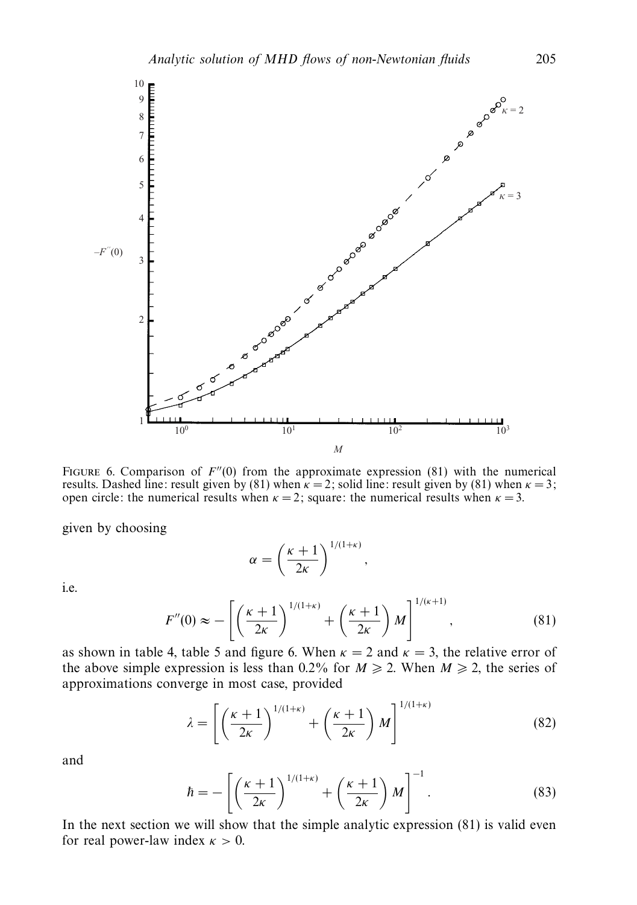

FIGURE 6. Comparison of  $F''(0)$  from the approximate expression (81) with the numerical results. Dashed line: result given by (81) when  $\kappa = 2$ ; solid line: result given by (81) when  $\kappa = 3$ ; open circle: the numerical results when  $\kappa = 2$ ; square: the numerical results when  $\kappa = 3$ .

given by choosing

$$
\alpha = \left(\frac{\kappa + 1}{2\kappa}\right)^{1/(1+\kappa)},
$$

i.e.

$$
F''(0) \approx -\left[\left(\frac{\kappa+1}{2\kappa}\right)^{1/(1+\kappa)} + \left(\frac{\kappa+1}{2\kappa}\right)M\right]^{1/(\kappa+1)},\tag{81}
$$

as shown in table 4, table 5 and figure 6. When  $\kappa = 2$  and  $\kappa = 3$ , the relative error of the above simple expression is less than  $0.2\%$  for  $M \ge 2$ . When  $M \ge 2$ , the series of approximations converge in most case, provided

$$
\lambda = \left[ \left( \frac{\kappa + 1}{2\kappa} \right)^{1/(1+\kappa)} + \left( \frac{\kappa + 1}{2\kappa} \right) M \right]^{1/(1+\kappa)} \tag{82}
$$

and

$$
\hbar = -\left[ \left( \frac{\kappa + 1}{2\kappa} \right)^{1/(1+\kappa)} + \left( \frac{\kappa + 1}{2\kappa} \right) M \right]^{-1}.
$$
 (83)

In the next section we will show that the simple analytic expression (81) is valid even for real power-law index  $\kappa > 0$ .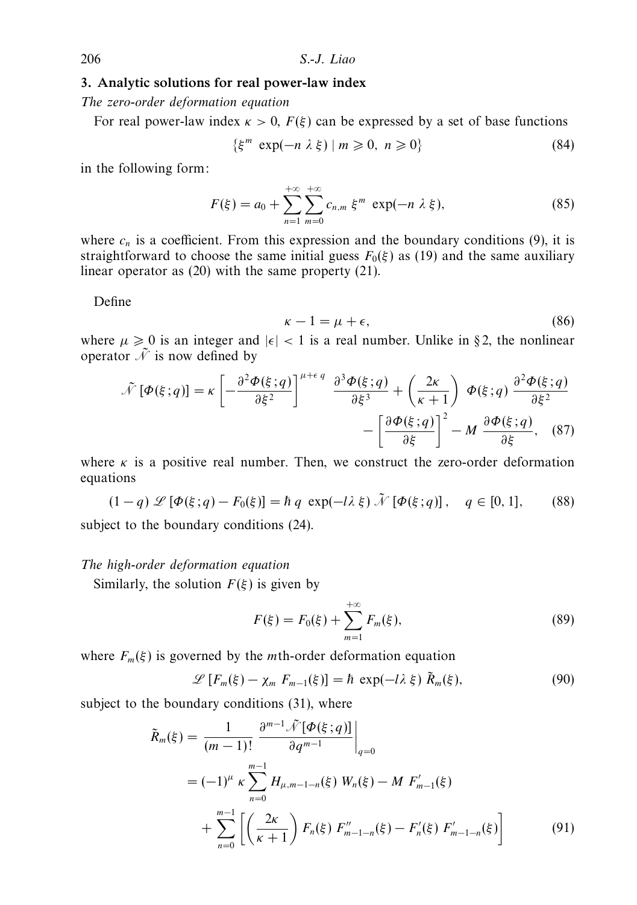# *3. Analytic solutions for real power-law index*

The zero-order deformation equation

For real power-law index  $\kappa > 0$ ,  $F(\xi)$  can be expressed by a set of base functions

$$
\{\xi^m \exp(-n\lambda\xi) \mid m \geqslant 0, n \geqslant 0\} \tag{84}
$$

in the following form:

$$
F(\xi) = a_0 + \sum_{n=1}^{+\infty} \sum_{m=0}^{+\infty} c_{n,m} \xi^m \exp(-n \lambda \xi),
$$
 (85)

where  $c_n$  is a coefficient. From this expression and the boundary conditions (9), it is straightforward to choose the same initial guess  $F_0(\xi)$  as (19) and the same auxiliary linear operator as (20) with the same property (21).

Define

$$
\kappa - 1 = \mu + \epsilon,\tag{86}
$$

where  $\mu \geq 0$  is an integer and  $|\epsilon| < 1$  is a real number. Unlike in §2, the nonlinear operator  $\tilde{\mathcal{N}}$  is now defined by

$$
\tilde{\mathcal{N}}\left[\Phi(\xi;q)\right] = \kappa \left[ -\frac{\partial^2 \Phi(\xi;q)}{\partial \xi^2} \right]^{\mu+\epsilon q} \frac{\partial^3 \Phi(\xi;q)}{\partial \xi^3} + \left( \frac{2\kappa}{\kappa+1} \right) \Phi(\xi;q) \frac{\partial^2 \Phi(\xi;q)}{\partial \xi^2} - \left[ \frac{\partial \Phi(\xi;q)}{\partial \xi} \right]^2 - M \frac{\partial \Phi(\xi;q)}{\partial \xi}, \quad (87)
$$

where  $\kappa$  is a positive real number. Then, we construct the zero-order deformation equations

$$
(1-q)\mathcal{L}[\Phi(\xi;q)-F_0(\xi)]=\hbar q\,\exp(-l\lambda\,\xi)\,\tilde{\mathcal{N}}[\Phi(\xi;q)],\quad q\in[0,1],\qquad(88)
$$

subject to the boundary conditions (24).

#### The high-order deformation equation

Similarly, the solution  $F(\xi)$  is given by

$$
F(\xi) = F_0(\xi) + \sum_{m=1}^{+\infty} F_m(\xi),
$$
\n(89)

where  $F_m(\xi)$  is governed by the *m*th-order deformation equation

$$
\mathscr{L}\left[F_m(\xi) - \chi_m F_{m-1}(\xi)\right] = \hbar \exp(-l\lambda \xi) \tilde{R}_m(\xi),\tag{90}
$$

subject to the boundary conditions (31), where

$$
\tilde{R}_{m}(\xi) = \frac{1}{(m-1)!} \frac{\partial^{m-1} \tilde{\mathcal{N}}[\Phi(\xi; q)]}{\partial q^{m-1}} \Big|_{q=0}
$$
\n
$$
= (-1)^{\mu} \kappa \sum_{n=0}^{m-1} H_{\mu, m-1-n}(\xi) W_{n}(\xi) - M F'_{m-1}(\xi)
$$
\n
$$
+ \sum_{n=0}^{m-1} \left[ \left( \frac{2\kappa}{\kappa + 1} \right) F_{n}(\xi) F''_{m-1-n}(\xi) - F'_{n}(\xi) F'_{m-1-n}(\xi) \right]
$$
\n(91)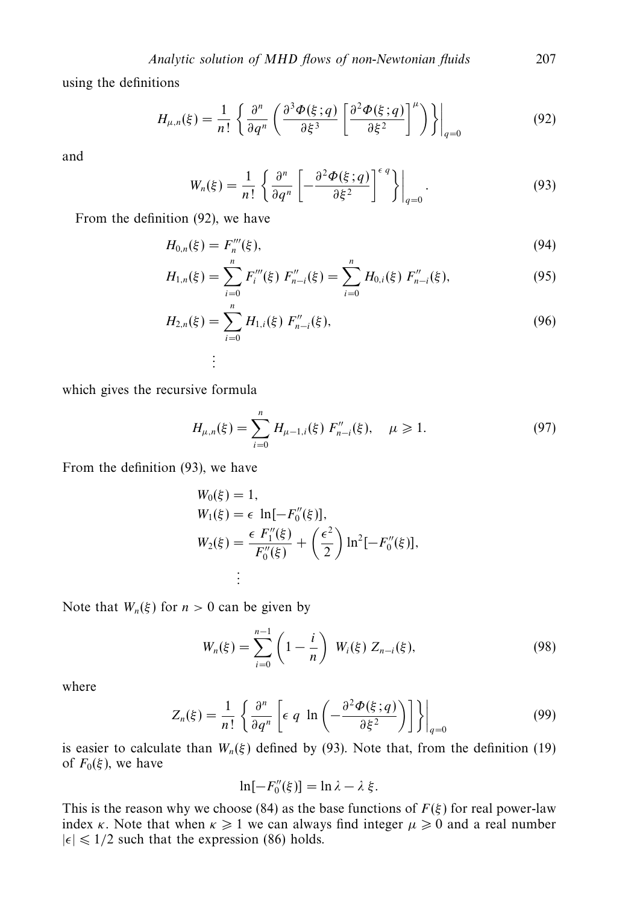using the definitions

$$
H_{\mu,n}(\xi) = \frac{1}{n!} \left\{ \frac{\partial^n}{\partial q^n} \left( \frac{\partial^3 \Phi(\xi; q)}{\partial \xi^3} \left[ \frac{\partial^2 \Phi(\xi; q)}{\partial \xi^2} \right]^{\mu} \right) \right\} \bigg|_{q=0}
$$
(92)

and

$$
W_n(\xi) = \frac{1}{n!} \left\{ \frac{\partial^n}{\partial q^n} \left[ -\frac{\partial^2 \Phi(\xi; q)}{\partial \xi^2} \right]^{\epsilon q} \right\}\Big|_{q=0}.
$$
 (93)

From the definition (92), we have

$$
H_{0,n}(\xi) = F_n'''(\xi),
$$
\n(94)

$$
H_{1,n}(\xi) = \sum_{i=0}^{n} F_i'''(\xi) F_{n-i}''(\xi) = \sum_{i=0}^{n} H_{0,i}(\xi) F_{n-i}''(\xi),
$$
 (95)

$$
H_{2,n}(\xi) = \sum_{i=0}^{n} H_{1,i}(\xi) F''_{n-i}(\xi),
$$
\n
$$
\vdots
$$
\n(96)

which gives the recursive formula

$$
H_{\mu,n}(\xi) = \sum_{i=0}^{n} H_{\mu-1,i}(\xi) F''_{n-i}(\xi), \quad \mu \ge 1.
$$
 (97)

From the definition (93), we have

$$
W_0(\xi) = 1,
$$
  
\n
$$
W_1(\xi) = \epsilon \ln[-F_0''(\xi)],
$$
  
\n
$$
W_2(\xi) = \frac{\epsilon F_1''(\xi)}{F_0''(\xi)} + \left(\frac{\epsilon^2}{2}\right) \ln^2[-F_0''(\xi)],
$$
  
\n
$$
\vdots
$$

Note that  $W_n(\xi)$  for  $n > 0$  can be given by

$$
W_n(\xi) = \sum_{i=0}^{n-1} \left(1 - \frac{i}{n}\right) W_i(\xi) Z_{n-i}(\xi), \tag{98}
$$

where

$$
Z_n(\xi) = \frac{1}{n!} \left\{ \frac{\partial^n}{\partial q^n} \left[ \epsilon \ q \ \ln \left( -\frac{\partial^2 \Phi(\xi; q)}{\partial \xi^2} \right) \right] \right\} \Big|_{q=0}
$$
 (99)

is easier to calculate than  $W_n(\xi)$  defined by (93). Note that, from the definition (19) of  $F_0(\xi)$ , we have

$$
\ln[-F''_0(\xi)] = \ln \lambda - \lambda \xi.
$$

This is the reason why we choose (84) as the base functions of  $F(\xi)$  for real power-law index *κ*. Note that when  $\kappa \geq 1$  we can always find integer  $\mu \geq 0$  and a real number  $|\epsilon| \leq 1/2$  such that the expression (86) holds.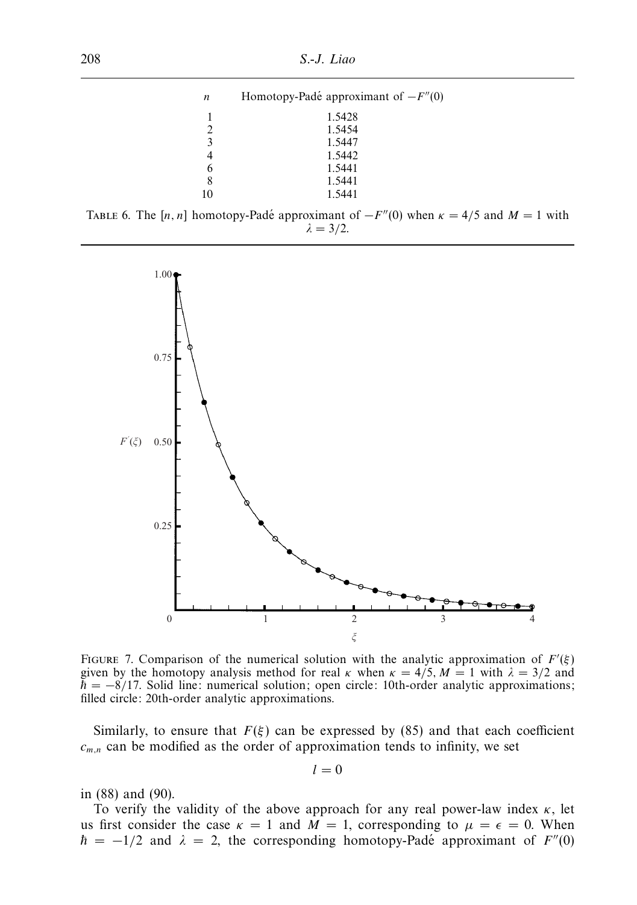| $\boldsymbol{n}$ | Homotopy-Padé approximant of $-F''(0)$ |
|------------------|----------------------------------------|
| 1                | 1.5428                                 |
| $\overline{2}$   | 1.5454                                 |
| $\overline{3}$   | 1.5447                                 |
|                  | 1.5442                                 |
| 6                | 1.5441                                 |
|                  | 1.5441                                 |
| 10               | 1.5441                                 |

|  |  | TABLE 6. The [n, n] homotopy-Padé approximant of $-F''(0)$ when $\kappa = 4/5$ and $M = 1$ with |  |  |  |  |
|--|--|-------------------------------------------------------------------------------------------------|--|--|--|--|
|  |  | $\lambda = 3/2$ .                                                                               |  |  |  |  |



FIGURE 7. Comparison of the numerical solution with the analytic approximation of  $F'(\xi)$ given by the homotopy analysis method for real  $\kappa$  when  $\kappa = 4/5$ ,  $M = 1$  with  $\lambda = 3/2$  and  $\hbar = -8/17$ . Solid line: numerical solution; open circle: 10th-order analytic approximations; filled circle: 20th-order analytic approximations.

Similarly, to ensure that  $F(\xi)$  can be expressed by (85) and that each coefficient  $c_{m,n}$  can be modified as the order of approximation tends to infinity, we set

$$
l = 0
$$

in (88) and (90).

To verify the validity of the above approach for any real power-law index *κ*, let us first consider the case  $\kappa = 1$  and  $M = 1$ , corresponding to  $\mu = \epsilon = 0$ . When  $\hbar = -1/2$  and  $\lambda = 2$ , the corresponding homotopy-Padé approximant of  $F''(0)$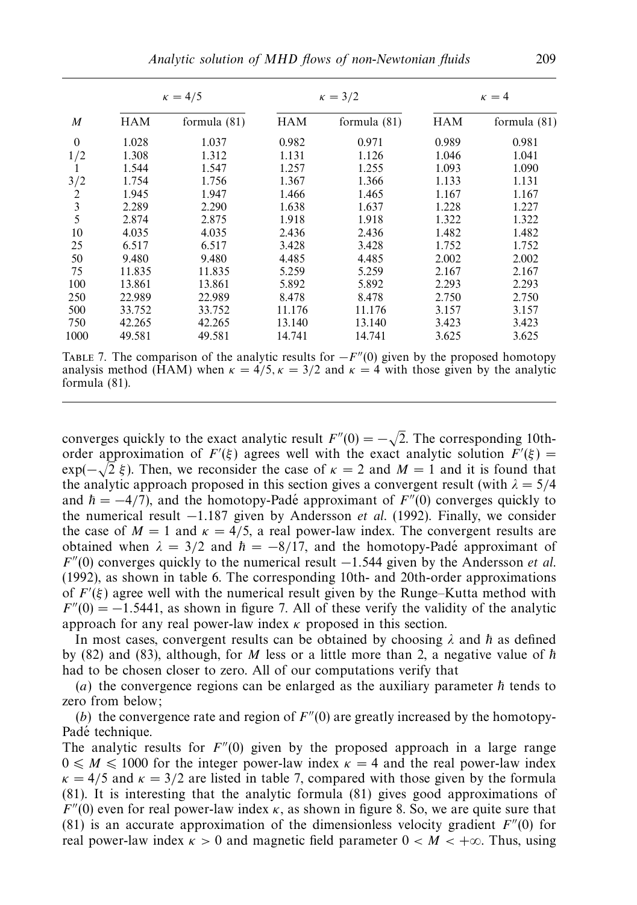|                  | $\kappa = 4/5$ |                |            | $\kappa = 3/2$ | $\kappa = 4$ |                |  |
|------------------|----------------|----------------|------------|----------------|--------------|----------------|--|
| $\boldsymbol{M}$ | <b>HAM</b>     | formula $(81)$ | <b>HAM</b> | formula $(81)$ | <b>HAM</b>   | formula $(81)$ |  |
| $\theta$         | 1.028          | 1.037          | 0.982      | 0.971          | 0.989        | 0.981          |  |
| 1/2              | 1.308          | 1.312          | 1.131      | 1.126          | 1.046        | 1.041          |  |
|                  | 1.544          | 1.547          | 1.257      | 1.255          | 1.093        | 1.090          |  |
| 3/2              | 1.754          | 1.756          | 1.367      | 1.366          | 1.133        | 1.131          |  |
| 2                | 1.945          | 1.947          | 1.466      | 1.465          | 1.167        | 1.167          |  |
| 3                | 2.289          | 2.290          | 1.638      | 1.637          | 1.228        | 1.227          |  |
| 5                | 2.874          | 2.875          | 1.918      | 1.918          | 1.322        | 1.322          |  |
| 10               | 4.035          | 4.035          | 2.436      | 2.436          | 1.482        | 1.482          |  |
| 25               | 6.517          | 6.517          | 3.428      | 3.428          | 1.752        | 1.752          |  |
| 50               | 9.480          | 9.480          | 4.485      | 4.485          | 2.002        | 2.002          |  |
| 75               | 11.835         | 11.835         | 5.259      | 5.259          | 2.167        | 2.167          |  |
| 100              | 13.861         | 13.861         | 5.892      | 5.892          | 2.293        | 2.293          |  |
| 250              | 22.989         | 22.989         | 8.478      | 8.478          | 2.750        | 2.750          |  |
| 500              | 33.752         | 33.752         | 11.176     | 11.176         | 3.157        | 3.157          |  |
| 750              | 42.265         | 42.265         | 13.140     | 13.140         | 3.423        | 3.423          |  |
| 1000             | 49.581         | 49.581         | 14.741     | 14.741         | 3.625        | 3.625          |  |

TABLE 7. The comparison of the analytic results for  $-F''(0)$  given by the proposed homotopy analysis method (HAM) when  $\kappa = 4/5$ ,  $\kappa = 3/2$  and  $\kappa = 4$  with those given by the analytic formula (81).

converges quickly to the exact analytic result  $F''(0) = -\sqrt{ }$ 2. The corresponding 10thorder approximation of  $F'(\xi)$  agrees well with the exact analytic solution  $F'(\xi) =$ exp( $-\sqrt{2} \xi$ ). Then, we reconsider the case of  $\kappa = 2$  and  $M = 1$  and it is found that the analytic approach proposed in this section gives a convergent result (with  $\lambda = 5/4$ ) and  $\hbar = -4/7$ , and the homotopy-Padé approximant of  $F''(0)$  converges quickly to the numerical result −1*.*187 given by Andersson et al. (1992). Finally, we consider the case of  $M = 1$  and  $\kappa = 4/5$ , a real power-law index. The convergent results are obtained when  $\lambda = 3/2$  and  $\hbar = -8/17$ , and the homotopy-Padé approximant of *F*<sup> $''$ </sup>(0) converges quickly to the numerical result −1.544 given by the Andersson *et al.* (1992), as shown in table 6. The corresponding 10th- and 20th-order approximations of  $F'(\xi)$  agree well with the numerical result given by the Runge–Kutta method with  $F''(0) = -1.5441$ , as shown in figure 7. All of these verify the validity of the analytic approach for any real power-law index *κ* proposed in this section.

In most cases, convergent results can be obtained by choosing  $\lambda$  and  $\hbar$  as defined by  $(82)$  and  $(83)$ , although, for *M* less or a little more than 2, a negative value of  $\hbar$ had to be chosen closer to zero. All of our computations verify that

(*a*) the convergence regions can be enlarged as the auxiliary parameter  $\hbar$  tends to zero from below;

(*b*) the convergence rate and region of  $F''(0)$  are greatly increased by the homotopy-Padé technique.

The analytic results for  $F''(0)$  given by the proposed approach in a large range  $0 \leq M \leq 1000$  for the integer power-law index  $\kappa = 4$  and the real power-law index  $\kappa = 4/5$  and  $\kappa = 3/2$  are listed in table 7, compared with those given by the formula (81). It is interesting that the analytic formula (81) gives good approximations of  $F''(0)$  even for real power-law index  $\kappa$ , as shown in figure 8. So, we are quite sure that (81) is an accurate approximation of the dimensionless velocity gradient  $F''(0)$  for real power-law index  $\kappa > 0$  and magnetic field parameter  $0 < M < +\infty$ . Thus, using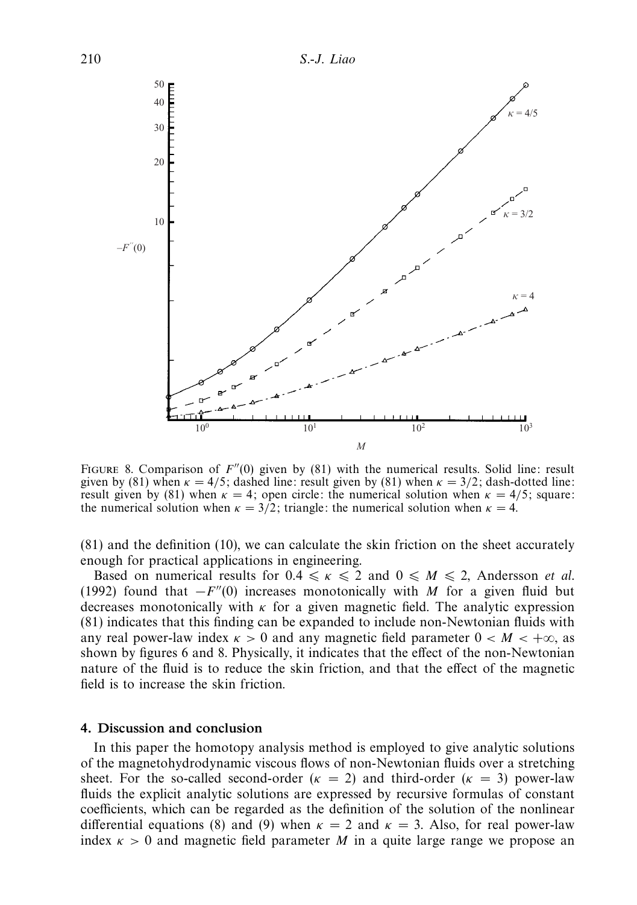

FIGURE 8. Comparison of  $F''(0)$  given by (81) with the numerical results. Solid line: result given by (81) when  $\kappa = 4/5$ ; dashed line: result given by (81) when  $\kappa = 3/2$ ; dash-dotted line: result given by (81) when  $\kappa = 4$ ; open circle: the numerical solution when  $\kappa = 4/5$ ; square: the numerical solution when  $\kappa = 3/2$ ; triangle: the numerical solution when  $\kappa = 4$ .

(81) and the definition (10), we can calculate the skin friction on the sheet accurately enough for practical applications in engineering.

Based on numerical results for  $0.4 \le \kappa \le 2$  and  $0 \le M \le 2$ , Andersson *et al.* (1992) found that  $-F''(0)$  increases monotonically with *M* for a given fluid but decreases monotonically with  $\kappa$  for a given magnetic field. The analytic expression (81) indicates that this finding can be expanded to include non-Newtonian fluids with any real power-law index  $\kappa > 0$  and any magnetic field parameter  $0 < M < +\infty$ , as shown by figures 6 and 8. Physically, it indicates that the effect of the non-Newtonian nature of the fluid is to reduce the skin friction, and that the effect of the magnetic field is to increase the skin friction.

## *4. Discussion and conclusion*

In this paper the homotopy analysis method is employed to give analytic solutions of the magnetohydrodynamic viscous flows of non-Newtonian fluids over a stretching sheet. For the so-called second-order  $(\kappa = 2)$  and third-order  $(\kappa = 3)$  power-law fluids the explicit analytic solutions are expressed by recursive formulas of constant coefficients, which can be regarded as the definition of the solution of the nonlinear differential equations (8) and (9) when  $\kappa = 2$  and  $\kappa = 3$ . Also, for real power-law index  $\kappa > 0$  and magnetic field parameter *M* in a quite large range we propose an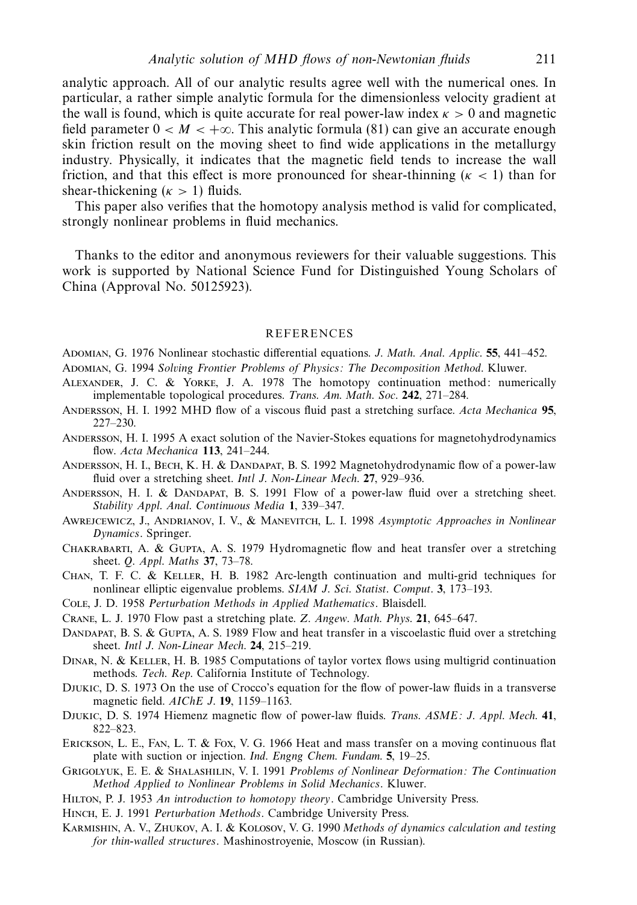analytic approach. All of our analytic results agree well with the numerical ones. In particular, a rather simple analytic formula for the dimensionless velocity gradient at the wall is found, which is quite accurate for real power-law index  $\kappa > 0$  and magnetic field parameter  $0 < M < +\infty$ . This analytic formula (81) can give an accurate enough skin friction result on the moving sheet to find wide applications in the metallurgy industry. Physically, it indicates that the magnetic field tends to increase the wall friction, and that this effect is more pronounced for shear-thinning ( $\kappa$  < 1) than for shear-thickening  $(\kappa > 1)$  fluids.

This paper also verifies that the homotopy analysis method is valid for complicated, strongly nonlinear problems in fluid mechanics.

Thanks to the editor and anonymous reviewers for their valuable suggestions. This work is supported by National Science Fund for Distinguished Young Scholars of China (Approval No. 50125923).

#### REFERENCES

Adomian, G. 1976 Nonlinear stochastic differential equations. J. Math. Anal. Applic. **55**, 441–452.

Adomian, G. 1994 Solving Frontier Problems of Physics: The Decomposition Method. Kluwer.

- Alexander, J. C. & Yorke, J. A. 1978 The homotopy continuation method: numerically implementable topological procedures. Trans. Am. Math. Soc. **242**, 271–284.
- Andersson, H. I. 1992 MHD flow of a viscous fluid past a stretching surface. Acta Mechanica **95**, 227–230.
- ANDERSSON, H. I. 1995 A exact solution of the Navier-Stokes equations for magnetohydrodynamics flow. Acta Mechanica **113**, 241–244.
- Andersson, H. I., Bech, K. H. & Dandapat, B. S. 1992 Magnetohydrodynamic flow of a power-law fluid over a stretching sheet. Intl J. Non-Linear Mech. **27**, 929–936.
- Andersson, H. I. & Dandapat, B. S. 1991 Flow of a power-law fluid over a stretching sheet. Stability Appl. Anal. Continuous Media **1**, 339–347.
- AWREJCEWICZ, J., ANDRIANOV, I. V., & MANEVITCH, L. I. 1998 Asymptotic Approaches in Nonlinear Dynamics. Springer.
- Chakrabarti, A. & Gupta, A. S. 1979 Hydromagnetic flow and heat transfer over a stretching sheet. Q. Appl. Maths **37**, 73–78.
- Chan, T. F. C. & Keller, H. B. 1982 Arc-length continuation and multi-grid techniques for nonlinear elliptic eigenvalue problems. SIAM J. Sci. Statist. Comput. **3**, 173–193.

Cole, J. D. 1958 Perturbation Methods in Applied Mathematics. Blaisdell.

- Crane, L. J. 1970 Flow past a stretching plate. Z. Angew. Math. Phys. **21**, 645–647.
- DANDAPAT, B. S. & GUPTA, A. S. 1989 Flow and heat transfer in a viscoelastic fluid over a stretching sheet. Intl J. Non-Linear Mech. **24**, 215–219.

Dinar, N. & Keller, H. B. 1985 Computations of taylor vortex flows using multigrid continuation methods. Tech. Rep. California Institute of Technology.

- Djukic, D. S. 1973 On the use of Crocco's equation for the flow of power-law fluids in a transverse magnetic field. AIChE J. **19**, 1159–1163.
- Djukic, D. S. 1974 Hiemenz magnetic flow of power-law fluids. Trans. ASME: J. Appl. Mech. **41**, 822–823.
- Erickson, L. E., Fan, L. T. & Fox, V. G. 1966 Heat and mass transfer on a moving continuous flat plate with suction or injection. Ind. Engng Chem. Fundam. **5**, 19–25.
- Grigolyuk, E. E. & Shalashilin, V. I. 1991 Problems of Nonlinear Deformation: The Continuation Method Applied to Nonlinear Problems in Solid Mechanics. Kluwer.
- HILTON, P. J. 1953 An introduction to homotopy theory. Cambridge University Press.
- HINCH, E. J. 1991 Perturbation Methods. Cambridge University Press.
- Karmishin, A. V., Zhukov, A. I. & Kolosov, V. G. 1990 Methods of dynamics calculation and testing for thin-walled structures. Mashinostroyenie, Moscow (in Russian).